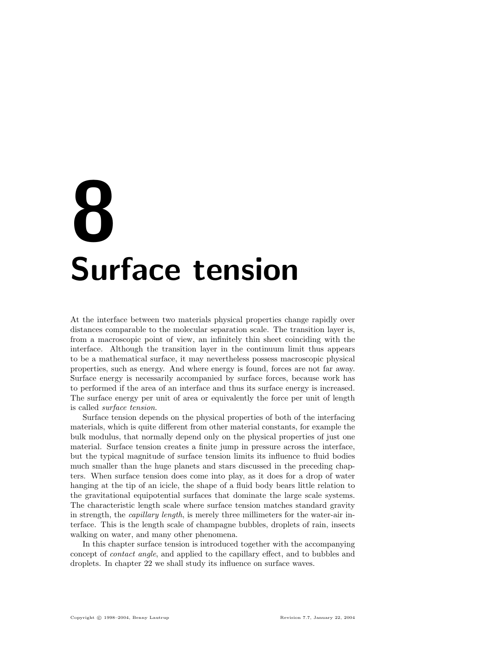# 8 Surface tension

At the interface between two materials physical properties change rapidly over distances comparable to the molecular separation scale. The transition layer is, from a macroscopic point of view, an infinitely thin sheet coinciding with the interface. Although the transition layer in the continuum limit thus appears to be a mathematical surface, it may nevertheless possess macroscopic physical properties, such as energy. And where energy is found, forces are not far away. Surface energy is necessarily accompanied by surface forces, because work has to performed if the area of an interface and thus its surface energy is increased. The surface energy per unit of area or equivalently the force per unit of length is called surface tension.

Surface tension depends on the physical properties of both of the interfacing materials, which is quite different from other material constants, for example the bulk modulus, that normally depend only on the physical properties of just one material. Surface tension creates a finite jump in pressure across the interface, but the typical magnitude of surface tension limits its influence to fluid bodies much smaller than the huge planets and stars discussed in the preceding chapters. When surface tension does come into play, as it does for a drop of water hanging at the tip of an icicle, the shape of a fluid body bears little relation to the gravitational equipotential surfaces that dominate the large scale systems. The characteristic length scale where surface tension matches standard gravity in strength, the capillary length, is merely three millimeters for the water-air interface. This is the length scale of champagne bubbles, droplets of rain, insects walking on water, and many other phenomena.

In this chapter surface tension is introduced together with the accompanying concept of contact angle, and applied to the capillary effect, and to bubbles and droplets. In chapter 22 we shall study its influence on surface waves.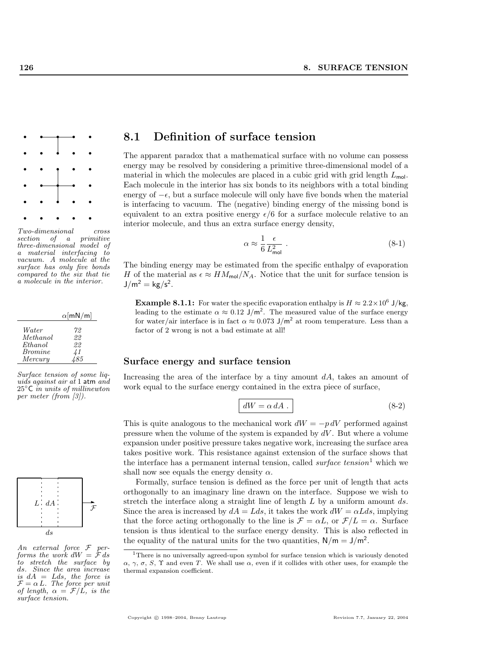

Two-dimensional cross section of a primitive three-dimensional model of a material interfacing to vacuum. A molecule at the surface has only five bonds compared to the six that tie a molecule in the interior.

|                | $\alpha$ [mN/m] |
|----------------|-----------------|
|                |                 |
| Water          | 72              |
| Methanol       | 99.             |
| Ethanol        | 99.             |
| <i>Bromine</i> | 41              |
| Mercury        | 185             |

Surface tension of some liquids against air at 1 atm and 25 $°C$  in units of millinewton per meter (from [3]).



An external force F performs the work  $dW = \bar{\mathcal{F}} ds$ to stretch the surface by ds. Since the area increase is  $dA = Lds$ , the force is  $\mathcal{F} = \alpha L$ . The force per unit of length,  $\alpha = \mathcal{F}/L$ , is the surface tension.

## 8.1 Definition of surface tension

The apparent paradox that a mathematical surface with no volume can possess energy may be resolved by considering a primitive three-dimensional model of a material in which the molecules are placed in a cubic grid with grid length  $L_{\text{mol}}$ . Each molecule in the interior has six bonds to its neighbors with a total binding energy of  $-\epsilon$ , but a surface molecule will only have five bonds when the material is interfacing to vacuum. The (negative) binding energy of the missing bond is equivalent to an extra positive energy  $\epsilon/6$  for a surface molecule relative to an interior molecule, and thus an extra surface energy density,

$$
\alpha \approx \frac{1}{6} \frac{\epsilon}{L_{\text{mol}}^2} \tag{8-1}
$$

The binding energy may be estimated from the specific enthalpy of evaporation H of the material as  $\epsilon \approx HM_{\text{mol}}/N_A$ . Notice that the unit for surface tension is  $J/m^2 = kg/s^2$ .

**Example 8.1.1:** For water the specific evaporation enthalpy is  $H \approx 2.2 \times 10^6$  J/kg, leading to the estimate  $\alpha \approx 0.12 \text{ J/m}^2$ . The measured value of the surface energy for water/air interface is in fact  $\alpha \approx 0.073$  J/m<sup>2</sup> at room temperature. Less than a factor of 2 wrong is not a bad estimate at all!

## Surface energy and surface tension

Increasing the area of the interface by a tiny amount  $dA$ , takes an amount of work equal to the surface energy contained in the extra piece of surface,

$$
dW = \alpha \, dA \tag{8-2}
$$

This is quite analogous to the mechanical work  $dW = -p dV$  performed against pressure when the volume of the system is expanded by  $dV$ . But where a volume expansion under positive pressure takes negative work, increasing the surface area takes positive work. This resistance against extension of the surface shows that the interface has a permanent internal tension, called *surface tension*<sup>1</sup> which we shall now see equals the energy density  $\alpha$ .

Formally, surface tension is defined as the force per unit of length that acts orthogonally to an imaginary line drawn on the interface. Suppose we wish to stretch the interface along a straight line of length  $L$  by a uniform amount ds. Since the area is increased by  $dA = Lds$ , it takes the work  $dW = \alpha Lds$ , implying that the force acting orthogonally to the line is  $\mathcal{F} = \alpha L$ , or  $\mathcal{F}/L = \alpha$ . Surface tension is thus identical to the surface energy density. This is also reflected in the equality of the natural units for the two quantities,  $N/m = J/m^2$ .

<sup>&</sup>lt;sup>1</sup>There is no universally agreed-upon symbol for surface tension which is variously denoted  $\alpha$ ,  $\gamma$ ,  $\sigma$ ,  $S$ ,  $\Upsilon$  and even T. We shall use  $\alpha$ , even if it collides with other uses, for example the thermal expansion coefficient.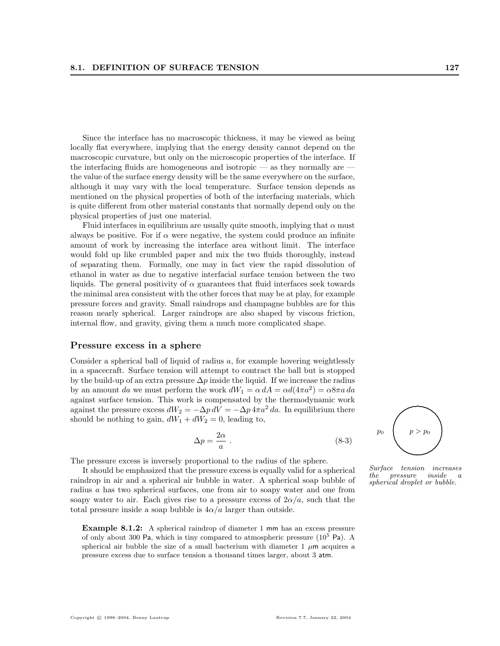Since the interface has no macroscopic thickness, it may be viewed as being locally flat everywhere, implying that the energy density cannot depend on the macroscopic curvature, but only on the microscopic properties of the interface. If the interfacing fluids are homogeneous and isotropic — as they normally are the value of the surface energy density will be the same everywhere on the surface, although it may vary with the local temperature. Surface tension depends as mentioned on the physical properties of both of the interfacing materials, which is quite different from other material constants that normally depend only on the physical properties of just one material.

Fluid interfaces in equilibrium are usually quite smooth, implying that  $\alpha$  must always be positive. For if  $\alpha$  were negative, the system could produce an infinite amount of work by increasing the interface area without limit. The interface would fold up like crumbled paper and mix the two fluids thoroughly, instead of separating them. Formally, one may in fact view the rapid dissolution of ethanol in water as due to negative interfacial surface tension between the two liquids. The general positivity of  $\alpha$  guarantees that fluid interfaces seek towards the minimal area consistent with the other forces that may be at play, for example pressure forces and gravity. Small raindrops and champagne bubbles are for this reason nearly spherical. Larger raindrops are also shaped by viscous friction, internal flow, and gravity, giving them a much more complicated shape.

#### Pressure excess in a sphere

Consider a spherical ball of liquid of radius  $a$ , for example hovering weightlessly in a spacecraft. Surface tension will attempt to contract the ball but is stopped by the build-up of an extra pressure  $\Delta p$  inside the liquid. If we increase the radius by an amount da we must perform the work  $dW_1 = \alpha dA = \alpha d(4\pi a^2) = \alpha 8\pi a da$ against surface tension. This work is compensated by the thermodynamic work against the pressure excess  $dW_2 = -\Delta p dV = -\Delta p 4\pi a^2 da$ . In equilibrium there should be nothing to gain,  $dW_1 + dW_2 = 0$ , leading to,

$$
\Delta p = \frac{2\alpha}{a} \tag{8-3}
$$

The pressure excess is inversely proportional to the radius of the sphere.

It should be emphasized that the pressure excess is equally valid for a spherical raindrop in air and a spherical air bubble in water. A spherical soap bubble of radius a has two spherical surfaces, one from air to soapy water and one from soapy water to air. Each gives rise to a pressure excess of  $2\alpha/a$ , such that the total pressure inside a soap bubble is  $4\alpha/a$  larger than outside.

Example 8.1.2: A spherical raindrop of diameter 1 mm has an excess pressure of only about 300 Pa, which is tiny compared to atmospheric pressure  $(10^5$  Pa). A spherical air bubble the size of a small bacterium with diameter  $1 \mu m$  acquires a pressure excess due to surface tension a thousand times larger, about 3 atm.



Surface tension increases<br>the pressure inside a  $the$  pressure spherical droplet or bubble.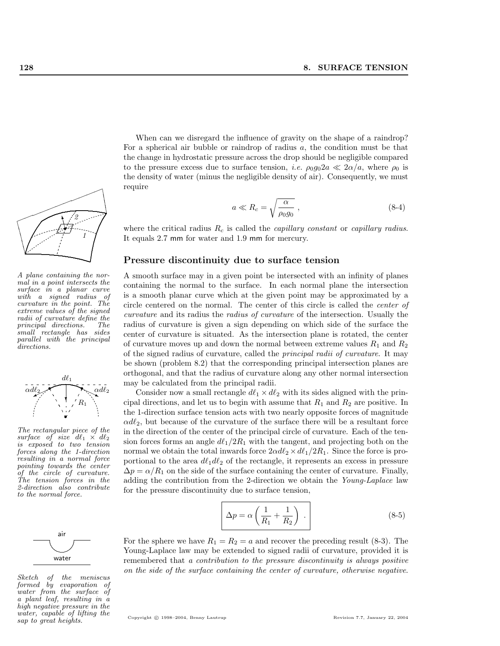

A plane containing the normal in a point intersects the surface in a planar curve with a signed radius of curvature in the point. The extreme values of the signed radii of curvature define the<br>principal directions. The principal directions. small rectangle has sides parallel with the principal directions.



The rectangular piece of the surface of size  $d\ell_1 \times d\ell_2$ is exposed to two tension forces along the 1-direction resulting in a normal force pointing towards the center of the circle of curvature. The tension forces in the 2-direction also contribute to the normal force.



Sketch of the meniscus formed by evaporation of water from the surface of a plant leaf, resulting in a high negative pressure in the water, capable of lifting the sap to great heights.<br>
Sap to great heights.<br>
Copyright © 1998–2004, Benny Lautrup Revision 7.7, January 22, 2004

When can we disregard the influence of gravity on the shape of a raindrop? For a spherical air bubble or raindrop of radius a, the condition must be that the change in hydrostatic pressure across the drop should be negligible compared to the pressure excess due to surface tension, *i.e.*  $\rho_0 q_0 2a \ll 2\alpha/a$ , where  $\rho_0$  is the density of water (minus the negligible density of air). Consequently, we must require

$$
a \ll R_c = \sqrt{\frac{\alpha}{\rho_0 g_0}} \,,\tag{8-4}
$$

where the critical radius  $R_c$  is called the *capillary constant* or *capillary radius*. It equals 2.7 mm for water and 1.9 mm for mercury.

#### Pressure discontinuity due to surface tension

A smooth surface may in a given point be intersected with an infinity of planes containing the normal to the surface. In each normal plane the intersection is a smooth planar curve which at the given point may be approximated by a circle centered on the normal. The center of this circle is called the center of curvature and its radius the radius of curvature of the intersection. Usually the radius of curvature is given a sign depending on which side of the surface the center of curvature is situated. As the intersection plane is rotated, the center of curvature moves up and down the normal between extreme values  $R_1$  and  $R_2$ of the signed radius of curvature, called the principal radii of curvature. It may be shown (problem 8.2) that the corresponding principal intersection planes are orthogonal, and that the radius of curvature along any other normal intersection may be calculated from the principal radii.

Consider now a small rectangle  $d\ell_1 \times d\ell_2$  with its sides aligned with the principal directions, and let us to begin with assume that  $R_1$  and  $R_2$  are positive. In the 1-direction surface tension acts with two nearly opposite forces of magnitude  $\alpha d\ell_2$ , but because of the curvature of the surface there will be a resultant force in the direction of the center of the principal circle of curvature. Each of the tension forces forms an angle  $d\ell_1/2R_1$  with the tangent, and projecting both on the normal we obtain the total inwards force  $2\alpha d\ell_2 \times d\ell_1/2R_1$ . Since the force is proportional to the area  $d\ell_1 d\ell_2$  of the rectangle, it represents an excess in pressure  $\Delta p = \alpha/R_1$  on the side of the surface containing the center of curvature. Finally, adding the contribution from the 2-direction we obtain the Young-Laplace law for the pressure discontinuity due to surface tension,

$$
\Delta p = \alpha \left( \frac{1}{R_1} + \frac{1}{R_2} \right) . \tag{8-5}
$$

For the sphere we have  $R_1 = R_2 = a$  and recover the preceding result (8-3). The Young-Laplace law may be extended to signed radii of curvature, provided it is remembered that a contribution to the pressure discontinuity is always positive on the side of the surface containing the center of curvature, otherwise negative.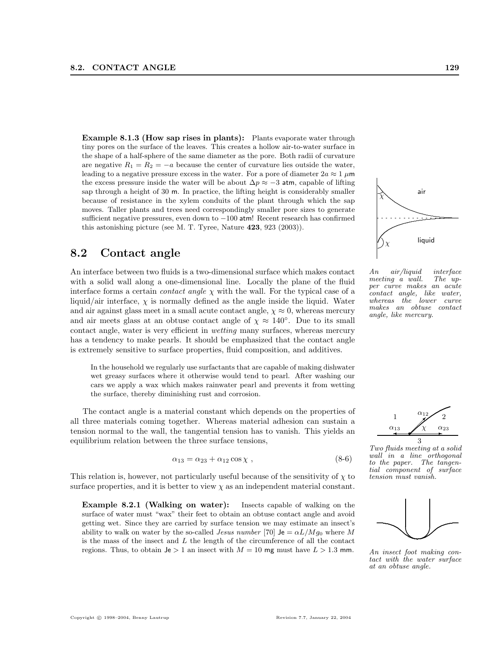Example 8.1.3 (How sap rises in plants): Plants evaporate water through tiny pores on the surface of the leaves. This creates a hollow air-to-water surface in the shape of a half-sphere of the same diameter as the pore. Both radii of curvature are negative  $R_1 = R_2 = -a$  because the center of curvature lies outside the water, leading to a negative pressure excess in the water. For a pore of diameter  $2a \approx 1 \ \mu m$ the excess pressure inside the water will be about  $\Delta p \approx -3$  atm, capable of lifting sap through a height of 30 m. In practice, the lifting height is considerably smaller because of resistance in the xylem conduits of the plant through which the sap moves. Taller plants and trees need correspondingly smaller pore sizes to generate sufficient negative pressures, even down to −100 atm! Recent research has confirmed this astonishing picture (see M. T. Tyree, Nature 423, 923 (2003)).

# 8.2 Contact angle

An interface between two fluids is a two-dimensional surface which makes contact with a solid wall along a one-dimensional line. Locally the plane of the fluid interface forms a certain *contact angle*  $\chi$  with the wall. For the typical case of a liquid/air interface,  $\chi$  is normally defined as the angle inside the liquid. Water and air against glass meet in a small acute contact angle,  $\chi \approx 0$ , whereas mercury and air meets glass at an obtuse contact angle of  $\chi \approx 140^{\circ}$ . Due to its small contact angle, water is very efficient in wetting many surfaces, whereas mercury has a tendency to make pearls. It should be emphasized that the contact angle is extremely sensitive to surface properties, fluid composition, and additives.

In the household we regularly use surfactants that are capable of making dishwater wet greasy surfaces where it otherwise would tend to pearl. After washing our cars we apply a wax which makes rainwater pearl and prevents it from wetting the surface, thereby diminishing rust and corrosion.

The contact angle is a material constant which depends on the properties of all three materials coming together. Whereas material adhesion can sustain a tension normal to the wall, the tangential tension has to vanish. This yields an equilibrium relation between the three surface tensions,

$$
\alpha_{13} = \alpha_{23} + \alpha_{12} \cos \chi , \qquad (8-6)
$$

This relation is, however, not particularly useful because of the sensitivity of  $\chi$  to surface properties, and it is better to view  $\chi$  as an independent material constant.

Example 8.2.1 (Walking on water): Insects capable of walking on the surface of water must "wax" their feet to obtain an obtuse contact angle and avoid getting wet. Since they are carried by surface tension we may estimate an insect's ability to walk on water by the so-called *Jesus number* [70]  $\mathbf{J}\mathbf{e} = \alpha L/Mg_0$  where M is the mass of the insect and  $L$  the length of the circumference of all the contact regions. Thus, to obtain  $Je > 1$  an insect with  $M = 10$  mg must have  $L > 1.3$  mm.



An air/liquid interface meeting a wall. The upper curve makes an acute contact angle, like water, whereas the lower curve makes an obtuse contact angle, like mercury.



Two fluids meeting at a solid wall in a line orthogonal to the paper. The tangential component of surface tension must vanish.



An insect foot making contact with the water surface at an obtuse angle.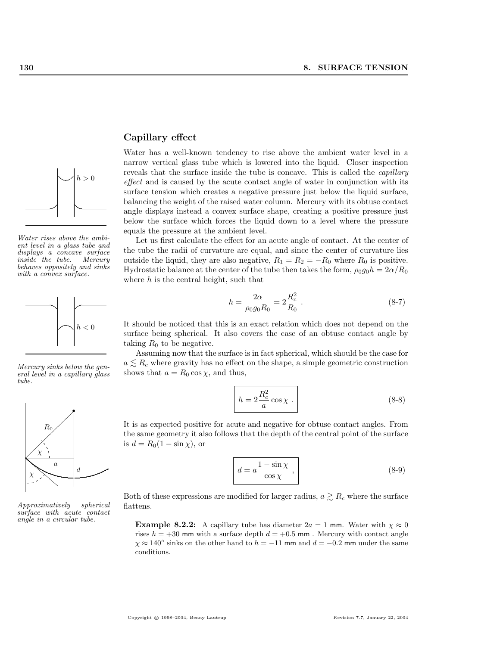

Water rises above the ambient level in a glass tube and displays a concave surface inside the tube. Mercury behaves oppositely and sinks with a convex surface.



Mercury sinks below the general level in a capillary glass tube.



Approximatively spherical surface with acute contact angle in a circular tube.

## Capillary effect

Water has a well-known tendency to rise above the ambient water level in a narrow vertical glass tube which is lowered into the liquid. Closer inspection reveals that the surface inside the tube is concave. This is called the *capillary* effect and is caused by the acute contact angle of water in conjunction with its surface tension which creates a negative pressure just below the liquid surface, balancing the weight of the raised water column. Mercury with its obtuse contact angle displays instead a convex surface shape, creating a positive pressure just below the surface which forces the liquid down to a level where the pressure equals the pressure at the ambient level.

Let us first calculate the effect for an acute angle of contact. At the center of the tube the radii of curvature are equal, and since the center of curvature lies outside the liquid, they are also negative,  $R_1 = R_2 = -R_0$  where  $R_0$  is positive. Hydrostatic balance at the center of the tube then takes the form,  $\rho_0 g_0 h = 2\alpha/R_0$ where  $h$  is the central height, such that

$$
h = \frac{2\alpha}{\rho_0 g_0 R_0} = 2\frac{R_c^2}{R_0} \ . \tag{8-7}
$$

It should be noticed that this is an exact relation which does not depend on the surface being spherical. It also covers the case of an obtuse contact angle by taking  $R_0$  to be negative.

Assuming now that the surface is in fact spherical, which should be the case for  $a \lesssim R_c$  where gravity has no effect on the shape, a simple geometric construction shows that  $a = R_0 \cos \chi$ , and thus,

$$
h = 2\frac{R_c^2}{a}\cos\chi\ .
$$
 (8-8)

It is as expected positive for acute and negative for obtuse contact angles. From the same geometry it also follows that the depth of the central point of the surface is  $d = R_0(1 - \sin \chi)$ , or

$$
d = a \frac{1 - \sin \chi}{\cos \chi} , \qquad (8-9)
$$

Both of these expressions are modified for larger radius,  $a \gtrsim R_c$  where the surface flattens.

**Example 8.2.2:** A capillary tube has diameter  $2a = 1$  mm. Water with  $\chi \approx 0$ rises  $h = +30$  mm with a surface depth  $d = +0.5$  mm. Mercury with contact angle  $\chi \approx 140^{\circ}$  sinks on the other hand to  $h = -11$  mm and  $d = -0.2$  mm under the same conditions.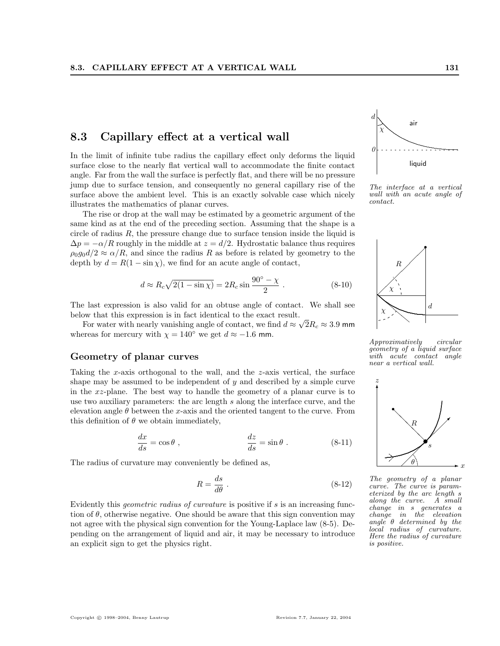## 8.3 Capillary effect at a vertical wall

In the limit of infinite tube radius the capillary effect only deforms the liquid surface close to the nearly flat vertical wall to accommodate the finite contact angle. Far from the wall the surface is perfectly flat, and there will be no pressure jump due to surface tension, and consequently no general capillary rise of the surface above the ambient level. This is an exactly solvable case which nicely illustrates the mathematics of planar curves.

The rise or drop at the wall may be estimated by a geometric argument of the same kind as at the end of the preceding section. Assuming that the shape is a circle of radius  $R$ , the pressure change due to surface tension inside the liquid is  $\Delta p = -\alpha/R$  roughly in the middle at  $z = d/2$ . Hydrostatic balance thus requires  $\rho_0 q_0 d/2 \approx \alpha/R$ , and since the radius R as before is related by geometry to the depth by  $d = R(1 - \sin \chi)$ , we find for an acute angle of contact,

$$
d \approx R_c \sqrt{2(1 - \sin \chi)} = 2R_c \sin \frac{90^\circ - \chi}{2} . \tag{8-10}
$$

The last expression is also valid for an obtuse angle of contact. We shall see below that this expression is in fact identical to the exact result. √

For water with nearly vanishing angle of contact, we find  $d \approx$  $2R_c \approx 3.9$  mm whereas for mercury with  $\chi = 140^{\circ}$  we get  $d \approx -1.6$  mm.

## Geometry of planar curves

Taking the x-axis orthogonal to the wall, and the  $z$ -axis vertical, the surface shape may be assumed to be independent of  $y$  and described by a simple curve in the xz-plane. The best way to handle the geometry of a planar curve is to use two auxiliary parameters: the arc length s along the interface curve, and the elevation angle  $\theta$  between the x-axis and the oriented tangent to the curve. From this definition of  $\theta$  we obtain immediately,

$$
\frac{dx}{ds} = \cos \theta ,\qquad \qquad \frac{dz}{ds} = \sin \theta .\qquad (8-11)
$$

The radius of curvature may conveniently be defined as,

$$
R = \frac{ds}{d\theta} \tag{8-12}
$$

Evidently this geometric radius of curvature is positive if s is an increasing function of  $\theta$ , otherwise negative. One should be aware that this sign convention may not agree with the physical sign convention for the Young-Laplace law (8-5). Depending on the arrangement of liquid and air, it may be necessary to introduce an explicit sign to get the physics right.



The interface at a vertical wall with an acute angle of contact.



Approximatively circular geometry of a liquid surface with acute contact angle near a vertical wall.



The geometry of a planar curve. The curve is parameterized by the arc length s along the curve. A small change in s generates a change in the elevation angle  $\theta$  determined by the local radius of curvature. Here the radius of curvature is positive.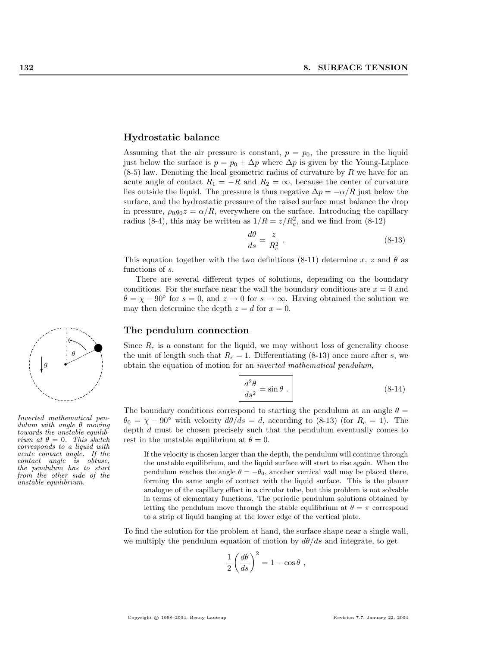#### Hydrostatic balance

Assuming that the air pressure is constant,  $p = p_0$ , the pressure in the liquid just below the surface is  $p = p_0 + \Delta p$  where  $\Delta p$  is given by the Young-Laplace  $(8-5)$  law. Denoting the local geometric radius of curvature by R we have for an acute angle of contact  $R_1 = -R$  and  $R_2 = \infty$ , because the center of curvature lies outside the liquid. The pressure is thus negative  $\Delta p = -\alpha/R$  just below the surface, and the hydrostatic pressure of the raised surface must balance the drop in pressure,  $\rho_0 g_0 z = \alpha/R$ , everywhere on the surface. Introducing the capillary radius (8-4), this may be written as  $1/R = z/R_c^2$ , and we find from (8-12)

$$
\frac{d\theta}{ds} = \frac{z}{R_c^2} \tag{8-13}
$$

This equation together with the two definitions (8-11) determine x, z and  $\theta$  as functions of s.

There are several different types of solutions, depending on the boundary conditions. For the surface near the wall the boundary conditions are  $x = 0$  and  $\theta = \chi - 90^{\circ}$  for  $s = 0$ , and  $z \to 0$  for  $s \to \infty$ . Having obtained the solution we may then determine the depth  $z = d$  for  $x = 0$ .

#### The pendulum connection

Since  $R_c$  is a constant for the liquid, we may without loss of generality choose the unit of length such that  $R_c = 1$ . Differentiating (8-13) once more after s, we obtain the equation of motion for an inverted mathematical pendulum,

$$
\frac{d^2\theta}{ds^2} = \sin\theta \ . \tag{8-14}
$$

The boundary conditions correspond to starting the pendulum at an angle  $\theta =$  $\theta_0 = \chi - 90^{\circ}$  with velocity  $d\theta/ds = d$ , according to (8-13) (for  $R_c = 1$ ). The depth d must be chosen precisely such that the pendulum eventually comes to rest in the unstable equilibrium at  $\theta = 0$ .

If the velocity is chosen larger than the depth, the pendulum will continue through the unstable equilibrium, and the liquid surface will start to rise again. When the pendulum reaches the angle  $\theta = -\theta_0$ , another vertical wall may be placed there, forming the same angle of contact with the liquid surface. This is the planar analogue of the capillary effect in a circular tube, but this problem is not solvable in terms of elementary functions. The periodic pendulum solutions obtained by letting the pendulum move through the stable equilibrium at  $\theta = \pi$  correspond to a strip of liquid hanging at the lower edge of the vertical plate.

To find the solution for the problem at hand, the surface shape near a single wall, we multiply the pendulum equation of motion by  $d\theta/ds$  and integrate, to get

$$
\frac{1}{2} \left( \frac{d\theta}{ds} \right)^2 = 1 - \cos \theta ,
$$



unstable equilibrium.

r✟ ✟ ✟  $\boldsymbol{\lambda}$ ②

 $\frac{3}{2}$ g

. . . . . . . .. . . ... .. .... ...... ........... .. ..... .... ... ... . . . . . . . . . . . .. . . . . . . .

. . . . . . .

 $\leftarrow$ 

θ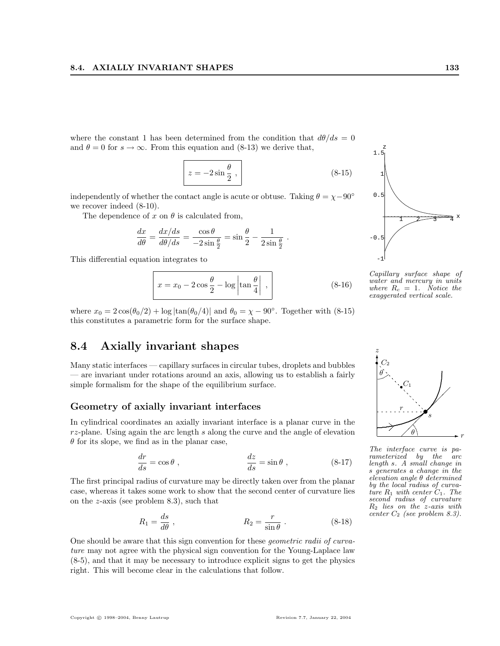where the constant 1 has been determined from the condition that  $d\theta/ds = 0$ and  $\theta = 0$  for  $s \to \infty$ . From this equation and (8-13) we derive that,

$$
z = -2\sin\frac{\theta}{2},\tag{8-15}
$$

independently of whether the contact angle is acute or obtuse. Taking  $\theta = \chi - 90^{\circ}$ we recover indeed (8-10).

The dependence of x on  $\theta$  is calculated from,

$$
\frac{dx}{d\theta} = \frac{dx/ds}{d\theta/ds} = \frac{\cos\theta}{-2\sin\frac{\theta}{2}} = \sin\frac{\theta}{2} - \frac{1}{2\sin\frac{\theta}{2}}.
$$

This differential equation integrates to

$$
x = x_0 - 2\cos\frac{\theta}{2} - \log\left|\tan\frac{\theta}{4}\right|,\tag{8-16}
$$

where  $x_0 = 2\cos(\theta_0/2) + \log|\tan(\theta_0/4)|$  and  $\theta_0 = \chi - 90^\circ$ . Together with (8-15) this constitutes a parametric form for the surface shape.

# 8.4 Axially invariant shapes

Many static interfaces — capillary surfaces in circular tubes, droplets and bubbles — are invariant under rotations around an axis, allowing us to establish a fairly simple formalism for the shape of the equilibrium surface.

## Geometry of axially invariant interfaces

In cylindrical coordinates an axially invariant interface is a planar curve in the rz-plane. Using again the arc length s along the curve and the angle of elevation  $\theta$  for its slope, we find as in the planar case,

$$
\frac{dr}{ds} = \cos \theta ,\qquad \qquad \frac{dz}{ds} = \sin \theta ,\qquad (8-17)
$$

The first principal radius of curvature may be directly taken over from the planar case, whereas it takes some work to show that the second center of curvature lies on the z-axis (see problem 8.3), such that

$$
R_1 = \frac{ds}{d\theta} , \qquad R_2 = \frac{r}{\sin \theta} . \qquad (8-18)
$$

One should be aware that this sign convention for these *geometric radii of curva*ture may not agree with the physical sign convention for the Young-Laplace law (8-5), and that it may be necessary to introduce explicit signs to get the physics right. This will become clear in the calculations that follow.



Capillary surface shape of water and mercury in units where  $R_c = 1$ . Notice the exaggerated vertical scale.



The interface curve is parameterized by the arc length s. A small change in s generates a change in the elevation angle θ determined by the local radius of curvature  $R_1$  with center  $C_1$ . The second radius of curvature  $R_2$  lies on the  $z$ -axis with  $center C_2$  (see problem 8.3).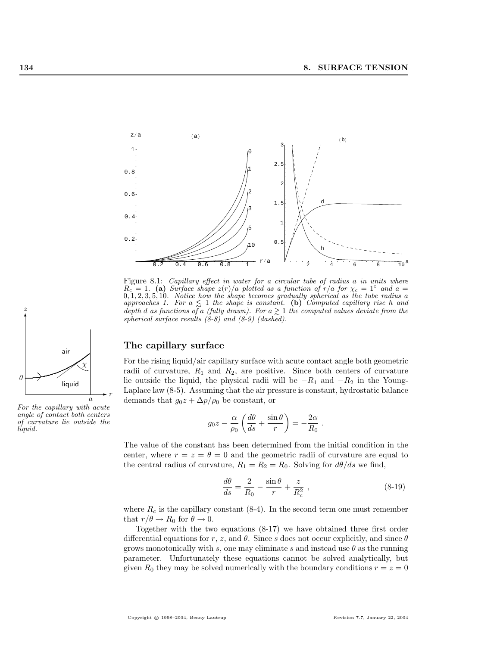

Figure 8.1: Capillary effect in water for a circular tube of radius a in units where  $R_c = 1$ . (a) Surface shape  $z(r)/a$  plotted as a function of r/a for  $\chi_c = 1^\circ$  and  $a =$  $0, 1, 2, 3, 5, 10$ . Notice how the shape becomes gradually spherical as the tube radius a approaches 1. For  $a \leq 1$  the shape is constant. (b) Computed capillary rise h and depth d as functions of a (fully drawn). For  $a \gtrsim 1$  the computed values deviate from the spherical surface results  $(8-8)$  and  $(8-9)$  (dashed).

#### The capillary surface

For the rising liquid/air capillary surface with acute contact angle both geometric radii of curvature,  $R_1$  and  $R_2$ , are positive. Since both centers of curvature lie outside the liquid, the physical radii will be  $-R_1$  and  $-R_2$  in the Young-Laplace law (8-5). Assuming that the air pressure is constant, hydrostatic balance demands that  $g_0z + \Delta p/\rho_0$  be constant, or

$$
g_0 z - \frac{\alpha}{\rho_0} \left( \frac{d\theta}{ds} + \frac{\sin \theta}{r} \right) = -\frac{2\alpha}{R_0} .
$$

The value of the constant has been determined from the initial condition in the center, where  $r = z = \theta = 0$  and the geometric radii of curvature are equal to the central radius of curvature,  $R_1 = R_2 = R_0$ . Solving for  $d\theta/ds$  we find,

$$
\frac{d\theta}{ds} = \frac{2}{R_0} - \frac{\sin\theta}{r} + \frac{z}{R_c^2} \,,\tag{8-19}
$$

where  $R_c$  is the capillary constant (8-4). In the second term one must remember that  $r/\theta \rightarrow R_0$  for  $\theta \rightarrow 0$ .

Together with the two equations (8-17) we have obtained three first order differential equations for r, z, and  $\theta$ . Since s does not occur explicitly, and since  $\theta$ grows monotonically with s, one may eliminate s and instead use  $\theta$  as the running parameter. Unfortunately these equations cannot be solved analytically, but given  $R_0$  they may be solved numerically with the boundary conditions  $r = z = 0$ 



z

For the capillary with acute angle of contact both centers of curvature lie outside the liquid.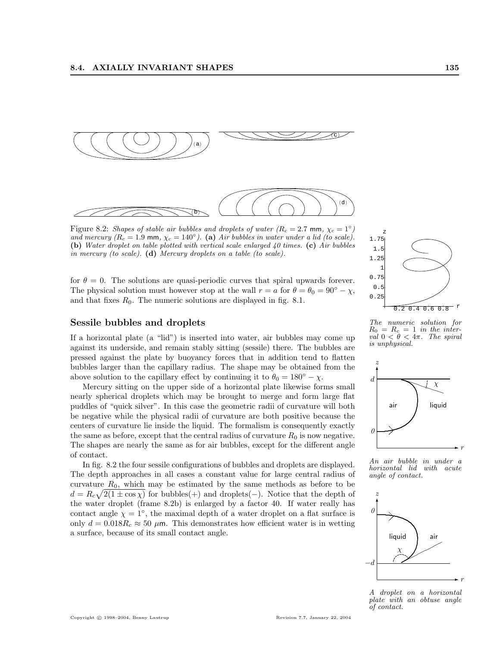

Figure 8.2: Shapes of stable air bubbles and droplets of water ( $R_c = 2.7$  mm,  $\chi_c = 1^\circ$ ) and mercury  $(R_c = 1.9 \text{ mm}, \chi_c = 140^\circ)$ . (a) Air bubbles in water under a lid (to scale). (b) Water droplet on table plotted with vertical scale enlarged  $\mu$ 0 times. (c) Air bubbles in mercury (to scale). (d) Mercury droplets on a table (to scale).

for  $\theta = 0$ . The solutions are quasi-periodic curves that spiral upwards forever. The physical solution must however stop at the wall  $r = a$  for  $\theta = \theta_0 = 90^\circ - \chi$ , and that fixes  $R_0$ . The numeric solutions are displayed in fig. 8.1.

#### Sessile bubbles and droplets

If a horizontal plate (a "lid") is inserted into water, air bubbles may come up against its underside, and remain stably sitting (sessile) there. The bubbles are pressed against the plate by buoyancy forces that in addition tend to flatten bubbles larger than the capillary radius. The shape may be obtained from the above solution to the capillary effect by continuing it to  $\theta_0 = 180^\circ - \chi$ .

Mercury sitting on the upper side of a horizontal plate likewise forms small nearly spherical droplets which may be brought to merge and form large flat puddles of "quick silver". In this case the geometric radii of curvature will both be negative while the physical radii of curvature are both positive because the centers of curvature lie inside the liquid. The formalism is consequently exactly the same as before, except that the central radius of curvature  $R_0$  is now negative. The shapes are nearly the same as for air bubbles, except for the different angle of contact.

In fig. 8.2 the four sessile configurations of bubbles and droplets are displayed. The depth approaches in all cases a constant value for large central radius of curvature  $R_0$ , which may be estimated by the same methods as before to be  $d = R_c \sqrt{2(1 \pm \cos \chi)}$  for bubbles(+) and droplets(-). Notice that the depth of the water droplet (frame 8.2b) is enlarged by a factor 40. If water really has contact angle  $\chi = 1^\circ$ , the maximal depth of a water droplet on a flat surface is only  $d = 0.018R_c \approx 50 \mu$ m. This demonstrates how efficient water is in wetting a surface, because of its small contact angle.



The numeric solution for  $R_0 = R_c = 1$  in the interval  $0 < \theta < 4\pi$ . The spiral is unphysical.



An air bubble in under a horizontal lid with acute angle of contact.



A droplet on a horizontal plate with an obtuse angle of contact.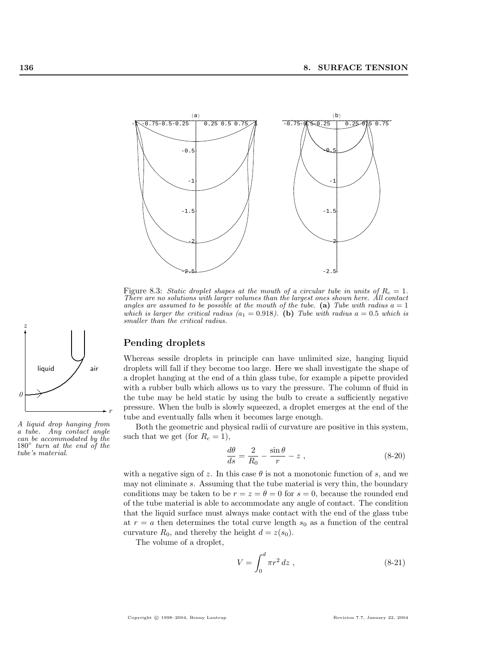

Figure 8.3: Static droplet shapes at the mouth of a circular tube in units of  $R_c = 1$ . There are no solutions with larger volumes than the largest ones shown here. All contact angles are assumed to be possible at the mouth of the tube. (a) Tube with radius  $a = 1$ which is larger the critical radius ( $a_1 = 0.918$ ). (b) Tube with radius  $a = 0.5$  which is smaller than the critical radius.

## Pending droplets

Whereas sessile droplets in principle can have unlimited size, hanging liquid droplets will fall if they become too large. Here we shall investigate the shape of a droplet hanging at the end of a thin glass tube, for example a pipette provided with a rubber bulb which allows us to vary the pressure. The column of fluid in the tube may be held static by using the bulb to create a sufficiently negative pressure. When the bulb is slowly squeezed, a droplet emerges at the end of the tube and eventually falls when it becomes large enough.

Both the geometric and physical radii of curvature are positive in this system, such that we get (for  $R_c = 1$ ),

$$
\frac{d\theta}{ds} = \frac{2}{R_0} - \frac{\sin \theta}{r} - z \tag{8-20}
$$

with a negative sign of z. In this case  $\theta$  is not a monotonic function of s, and we may not eliminate s. Assuming that the tube material is very thin, the boundary conditions may be taken to be  $r = z = \theta = 0$  for  $s = 0$ , because the rounded end of the tube material is able to accommodate any angle of contact. The condition that the liquid surface must always make contact with the end of the glass tube at  $r = a$  then determines the total curve length  $s_0$  as a function of the central curvature  $R_0$ , and thereby the height  $d = z(s_0)$ .

The volume of a droplet,

$$
V = \int_0^d \pi r^2 \, dz \ , \tag{8-21}
$$



A liquid drop hanging from a tube. Any contact angle can be accommodated by the 180° turn at the end of the tube's material.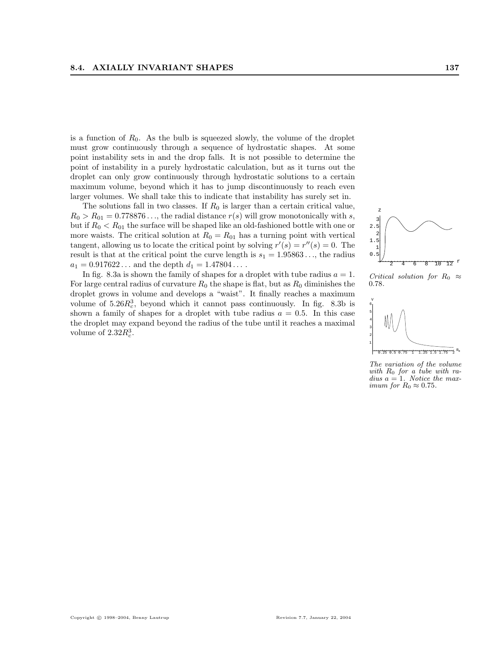is a function of  $R_0$ . As the bulb is squeezed slowly, the volume of the droplet must grow continuously through a sequence of hydrostatic shapes. At some point instability sets in and the drop falls. It is not possible to determine the point of instability in a purely hydrostatic calculation, but as it turns out the droplet can only grow continuously through hydrostatic solutions to a certain maximum volume, beyond which it has to jump discontinuously to reach even larger volumes. We shall take this to indicate that instability has surely set in.

The solutions fall in two classes. If  $R_0$  is larger than a certain critical value,  $R_0 > R_{01} = 0.778876...$ , the radial distance  $r(s)$  will grow monotonically with s, but if  $R_0 < R_{01}$  the surface will be shaped like an old-fashioned bottle with one or more waists. The critical solution at  $R_0 = R_{01}$  has a turning point with vertical tangent, allowing us to locate the critical point by solving  $r'(s) = r''(s) = 0$ . The result is that at the critical point the curve length is  $s_1 = 1.95863...$ , the radius  $a_1 = 0.917622...$  and the depth  $d_1 = 1.47804...$ 

In fig. 8.3a is shown the family of shapes for a droplet with tube radius  $a = 1$ . For large central radius of curvature  $R_0$  the shape is flat, but as  $R_0$  diminishes the droplet grows in volume and develops a "waist". It finally reaches a maximum volume of  $5.26R_c^3$ , beyond which it cannot pass continuously. In fig. 8.3b is shown a family of shapes for a droplet with tube radius  $a = 0.5$ . In this case the droplet may expand beyond the radius of the tube until it reaches a maximal volume of  $2.32R_c^3$ .



Critical solution for  $R_0 \approx$ 0.78.



The variation of the volume with  $R_0$  for a tube with radius  $a = 1$ . Notice the maximum for  $R_0 \approx 0.75$ .